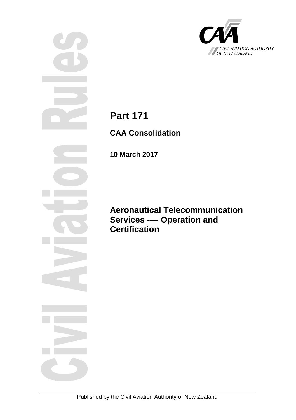

**Part 171**

**CAA Consolidation**

**10 March 2017**

**Aeronautical Telecommunication Services -— Operation and Certification**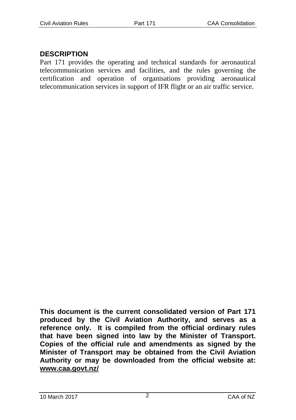## **DESCRIPTION**

Part 171 provides the operating and technical standards for aeronautical telecommunication services and facilities, and the rules governing the certification and operation of organisations providing aeronautical telecommunication services in support of IFR flight or an air traffic service.

**This document is the current consolidated version of Part 171 produced by the Civil Aviation Authority, and serves as a reference only. It is compiled from the official ordinary rules that have been signed into law by the Minister of Transport. Copies of the official rule and amendments as signed by the Minister of Transport may be obtained from the Civil Aviation Authority or may be downloaded from the official website at: www.caa.govt.nz/**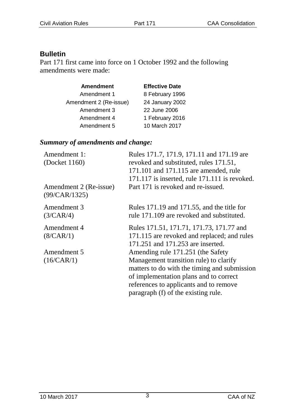## **Bulletin**

Part 171 first came into force on 1 October 1992 and the following amendments were made:

| <b>Amendment</b>       | <b>Effective Date</b> |
|------------------------|-----------------------|
| Amendment 1            | 8 February 1996       |
| Amendment 2 (Re-issue) | 24 January 2002       |
| Amendment 3            | 22 June 2006          |
| Amendment 4            | 1 February 2016       |
| Amendment 5            | 10 March 2017         |

#### *Summary of amendments and change:*

| Amendment 1:           | Rules 171.7, 171.9, 171.11 and 171.19 are         |
|------------------------|---------------------------------------------------|
| (Docket $1160$ )       | revoked and substituted, rules 171.51,            |
|                        | 171.101 and 171.115 are amended, rule             |
|                        | $171.117$ is inserted, rule $171.111$ is revoked. |
| Amendment 2 (Re-issue) | Part 171 is revoked and re-issued.                |
| (99/CAR/1325)          |                                                   |
| Amendment 3            | Rules 171.19 and 171.55, and the title for        |
| (3/CAR/4)              | rule 171.109 are revoked and substituted.         |
| Amendment 4            | Rules 171.51, 171.71, 171.73, 171.77 and          |
| (8/CAR/1)              | 171.115 are revoked and replaced; and rules       |
|                        | 171.251 and 171.253 are inserted.                 |
| Amendment 5            | Amending rule 171.251 (the Safety                 |
| (16/CAR/1)             | Management transition rule) to clarify            |
|                        | matters to do with the timing and submission      |
|                        | of implementation plans and to correct            |
|                        | references to applicants and to remove            |
|                        | paragraph (f) of the existing rule.               |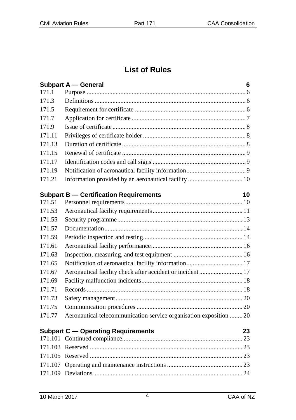## **List of Rules**

|        | Subpart A - General                                                | 6  |
|--------|--------------------------------------------------------------------|----|
| 171.1  |                                                                    |    |
| 171.3  |                                                                    |    |
| 171.5  |                                                                    |    |
| 171.7  |                                                                    |    |
| 171.9  |                                                                    |    |
| 171.11 |                                                                    |    |
| 171.13 |                                                                    |    |
| 171.15 |                                                                    |    |
| 171.17 |                                                                    |    |
| 171.19 |                                                                    |    |
| 171.21 |                                                                    |    |
|        | <b>Subpart B - Certification Requirements</b>                      | 10 |
| 171.51 |                                                                    |    |
| 171.53 |                                                                    |    |
| 171.55 |                                                                    |    |
| 171.57 |                                                                    |    |
| 171.59 |                                                                    |    |
| 171.61 |                                                                    |    |
| 171.63 |                                                                    |    |
| 171.65 |                                                                    |    |
| 171.67 | Aeronautical facility check after accident or incident  17         |    |
| 171.69 |                                                                    |    |
| 171.71 |                                                                    |    |
| 171.73 |                                                                    |    |
| 171.75 |                                                                    |    |
| 171.77 | Aeronautical telecommunication service organisation exposition  20 |    |
|        |                                                                    |    |
|        | <b>Subpart C - Operating Requirements</b>                          | 23 |
|        |                                                                    |    |
|        |                                                                    |    |
|        |                                                                    |    |
|        |                                                                    |    |
|        |                                                                    |    |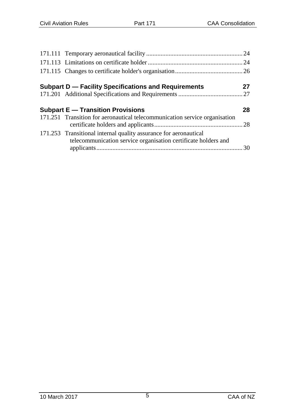| Subpart D — Facility Specifications and Requirements                                                                               | 27 |
|------------------------------------------------------------------------------------------------------------------------------------|----|
|                                                                                                                                    |    |
| <b>Subpart E - Transition Provisions</b>                                                                                           | 28 |
| 171.251 Transition for aeronautical telecommunication service organisation                                                         |    |
| 171.253 Transitional internal quality assurance for aeronautical<br>telecommunication service organisation certificate holders and |    |
|                                                                                                                                    |    |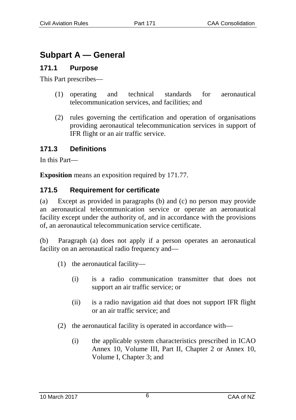# **Subpart A — General**

## **171.1 Purpose**

This Part prescribes—

- (1) operating and technical standards for aeronautical telecommunication services, and facilities; and
- (2) rules governing the certification and operation of organisations providing aeronautical telecommunication services in support of IFR flight or an air traffic service.

### **171.3 Definitions**

In this Part—

**Exposition** means an exposition required by 171.77.

#### **171.5 Requirement for certificate**

(a) Except as provided in paragraphs (b) and (c) no person may provide an aeronautical telecommunication service or operate an aeronautical facility except under the authority of, and in accordance with the provisions of, an aeronautical telecommunication service certificate.

(b) Paragraph (a) does not apply if a person operates an aeronautical facility on an aeronautical radio frequency and—

- (1) the aeronautical facility—
	- (i) is a radio communication transmitter that does not support an air traffic service; or
	- (ii) is a radio navigation aid that does not support IFR flight or an air traffic service; and
- (2) the aeronautical facility is operated in accordance with—
	- (i) the applicable system characteristics prescribed in ICAO Annex 10, Volume III, Part II, Chapter 2 or Annex 10, Volume I, Chapter 3; and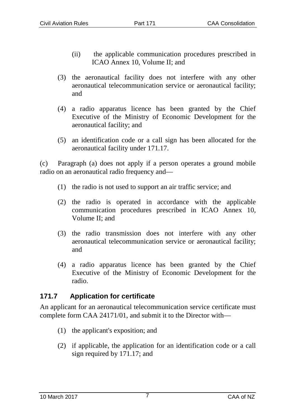- (ii) the applicable communication procedures prescribed in ICAO Annex 10, Volume II; and
- (3) the aeronautical facility does not interfere with any other aeronautical telecommunication service or aeronautical facility; and
- (4) a radio apparatus licence has been granted by the Chief Executive of the Ministry of Economic Development for the aeronautical facility; and
- (5) an identification code or a call sign has been allocated for the aeronautical facility under 171.17.

(c) Paragraph (a) does not apply if a person operates a ground mobile radio on an aeronautical radio frequency and—

- (1) the radio is not used to support an air traffic service; and
- (2) the radio is operated in accordance with the applicable communication procedures prescribed in ICAO Annex 10, Volume II; and
- (3) the radio transmission does not interfere with any other aeronautical telecommunication service or aeronautical facility; and
- (4) a radio apparatus licence has been granted by the Chief Executive of the Ministry of Economic Development for the radio.

## **171.7 Application for certificate**

An applicant for an aeronautical telecommunication service certificate must complete form CAA 24171/01, and submit it to the Director with—

- (1) the applicant's exposition; and
- (2) if applicable, the application for an identification code or a call sign required by 171.17; and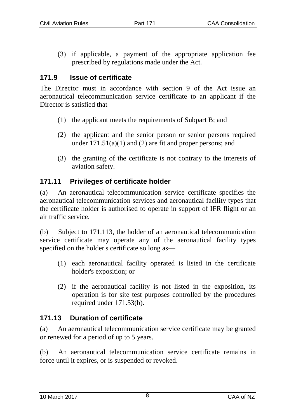(3) if applicable, a payment of the appropriate application fee prescribed by regulations made under the Act.

#### **171.9 Issue of certificate**

The Director must in accordance with section 9 of the Act issue an aeronautical telecommunication service certificate to an applicant if the Director is satisfied that—

- (1) the applicant meets the requirements of Subpart B; and
- (2) the applicant and the senior person or senior persons required under  $171.51(a)(1)$  and  $(2)$  are fit and proper persons; and
- (3) the granting of the certificate is not contrary to the interests of aviation safety.

#### **171.11 Privileges of certificate holder**

(a) An aeronautical telecommunication service certificate specifies the aeronautical telecommunication services and aeronautical facility types that the certificate holder is authorised to operate in support of IFR flight or an air traffic service.

(b) Subject to 171.113, the holder of an aeronautical telecommunication service certificate may operate any of the aeronautical facility types specified on the holder's certificate so long as—

- (1) each aeronautical facility operated is listed in the certificate holder's exposition; or
- (2) if the aeronautical facility is not listed in the exposition, its operation is for site test purposes controlled by the procedures required under 171.53(b).

#### **171.13 Duration of certificate**

(a) An aeronautical telecommunication service certificate may be granted or renewed for a period of up to 5 years.

(b) An aeronautical telecommunication service certificate remains in force until it expires, or is suspended or revoked.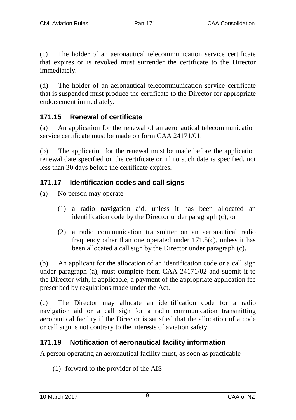(c) The holder of an aeronautical telecommunication service certificate that expires or is revoked must surrender the certificate to the Director immediately.

(d) The holder of an aeronautical telecommunication service certificate that is suspended must produce the certificate to the Director for appropriate endorsement immediately.

### **171.15 Renewal of certificate**

(a) An application for the renewal of an aeronautical telecommunication service certificate must be made on form CAA 24171/01.

(b) The application for the renewal must be made before the application renewal date specified on the certificate or, if no such date is specified, not less than 30 days before the certificate expires.

## **171.17 Identification codes and call signs**

- (a) No person may operate—
	- (1) a radio navigation aid, unless it has been allocated an identification code by the Director under paragraph (c); or
	- (2) a radio communication transmitter on an aeronautical radio frequency other than one operated under 171.5(c), unless it has been allocated a call sign by the Director under paragraph (c).

(b) An applicant for the allocation of an identification code or a call sign under paragraph (a), must complete form CAA 24171/02 and submit it to the Director with, if applicable, a payment of the appropriate application fee prescribed by regulations made under the Act.

(c) The Director may allocate an identification code for a radio navigation aid or a call sign for a radio communication transmitting aeronautical facility if the Director is satisfied that the allocation of a code or call sign is not contrary to the interests of aviation safety.

## **171.19 Notification of aeronautical facility information**

A person operating an aeronautical facility must, as soon as practicable—

(1) forward to the provider of the AIS—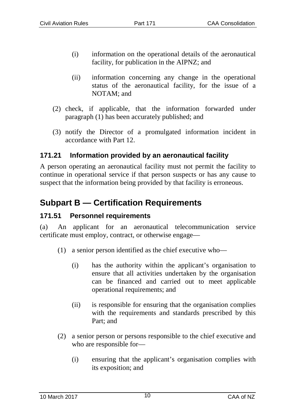- (i) information on the operational details of the aeronautical facility, for publication in the AIPNZ; and
- (ii) information concerning any change in the operational status of the aeronautical facility, for the issue of a NOTAM; and
- (2) check, if applicable, that the information forwarded under paragraph (1) has been accurately published; and
- (3) notify the Director of a promulgated information incident in accordance with Part 12.

#### **171.21 Information provided by an aeronautical facility**

A person operating an aeronautical facility must not permit the facility to continue in operational service if that person suspects or has any cause to suspect that the information being provided by that facility is erroneous.

# **Subpart B — Certification Requirements**

#### **171.51 Personnel requirements**

(a) An applicant for an aeronautical telecommunication service certificate must employ, contract, or otherwise engage—

- (1) a senior person identified as the chief executive who—
	- (i) has the authority within the applicant's organisation to ensure that all activities undertaken by the organisation can be financed and carried out to meet applicable operational requirements; and
	- (ii) is responsible for ensuring that the organisation complies with the requirements and standards prescribed by this Part; and
- (2) a senior person or persons responsible to the chief executive and who are responsible for—
	- (i) ensuring that the applicant's organisation complies with its exposition; and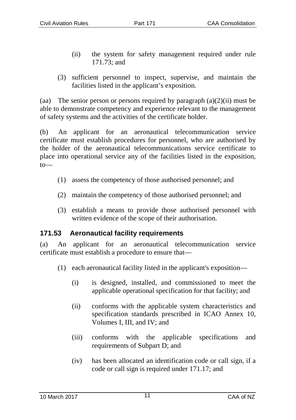- (ii) the system for safety management required under rule 171.73; and
- (3) sufficient personnel to inspect, supervise, and maintain the facilities listed in the applicant's exposition.

(aa) The senior person or persons required by paragraph  $(a)(2)(ii)$  must be able to demonstrate competency and experience relevant to the management of safety systems and the activities of the certificate holder.

(b) An applicant for an aeronautical telecommunication service certificate must establish procedures for personnel, who are authorised by the holder of the aeronautical telecommunications service certificate to place into operational service any of the facilities listed in the exposition, to—

- (1) assess the competency of those authorised personnel; and
- (2) maintain the competency of those authorised personnel; and
- (3) establish a means to provide those authorised personnel with written evidence of the scope of their authorisation.

## **171.53 Aeronautical facility requirements**

(a) An applicant for an aeronautical telecommunication service certificate must establish a procedure to ensure that—

- (1) each aeronautical facility listed in the applicant's exposition—
	- (i) is designed, installed, and commissioned to meet the applicable operational specification for that facility; and
	- (ii) conforms with the applicable system characteristics and specification standards prescribed in ICAO Annex 10, Volumes I, III, and IV; and
	- (iii) conforms with the applicable specifications and requirements of Subpart D; and
	- (iv) has been allocated an identification code or call sign, if a code or call sign is required under 171.17; and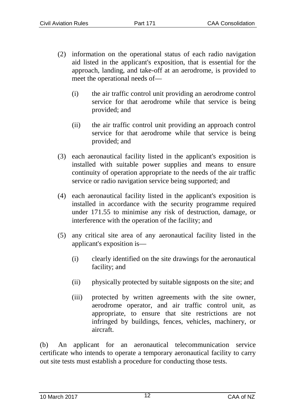- (2) information on the operational status of each radio navigation aid listed in the applicant's exposition, that is essential for the approach, landing, and take-off at an aerodrome, is provided to meet the operational needs of—
	- (i) the air traffic control unit providing an aerodrome control service for that aerodrome while that service is being provided; and
	- (ii) the air traffic control unit providing an approach control service for that aerodrome while that service is being provided; and
- (3) each aeronautical facility listed in the applicant's exposition is installed with suitable power supplies and means to ensure continuity of operation appropriate to the needs of the air traffic service or radio navigation service being supported; and
- (4) each aeronautical facility listed in the applicant's exposition is installed in accordance with the security programme required under 171.55 to minimise any risk of destruction, damage, or interference with the operation of the facility; and
- (5) any critical site area of any aeronautical facility listed in the applicant's exposition is—
	- (i) clearly identified on the site drawings for the aeronautical facility; and
	- (ii) physically protected by suitable signposts on the site; and
	- (iii) protected by written agreements with the site owner, aerodrome operator, and air traffic control unit, as appropriate, to ensure that site restrictions are not infringed by buildings, fences, vehicles, machinery, or aircraft.

(b) An applicant for an aeronautical telecommunication service certificate who intends to operate a temporary aeronautical facility to carry out site tests must establish a procedure for conducting those tests.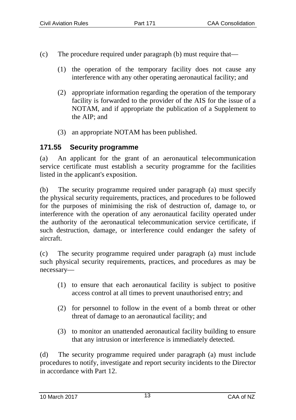- (c) The procedure required under paragraph (b) must require that—
	- (1) the operation of the temporary facility does not cause any interference with any other operating aeronautical facility; and
	- (2) appropriate information regarding the operation of the temporary facility is forwarded to the provider of the AIS for the issue of a NOTAM, and if appropriate the publication of a Supplement to the AIP; and
	- (3) an appropriate NOTAM has been published.

### **171.55 Security programme**

(a) An applicant for the grant of an aeronautical telecommunication service certificate must establish a security programme for the facilities listed in the applicant's exposition.

(b) The security programme required under paragraph (a) must specify the physical security requirements, practices, and procedures to be followed for the purposes of minimising the risk of destruction of, damage to, or interference with the operation of any aeronautical facility operated under the authority of the aeronautical telecommunication service certificate, if such destruction, damage, or interference could endanger the safety of aircraft.

(c) The security programme required under paragraph (a) must include such physical security requirements, practices, and procedures as may be necessary—

- (1) to ensure that each aeronautical facility is subject to positive access control at all times to prevent unauthorised entry; and
- (2) for personnel to follow in the event of a bomb threat or other threat of damage to an aeronautical facility; and
- (3) to monitor an unattended aeronautical facility building to ensure that any intrusion or interference is immediately detected.

(d) The security programme required under paragraph (a) must include procedures to notify, investigate and report security incidents to the Director in accordance with Part 12.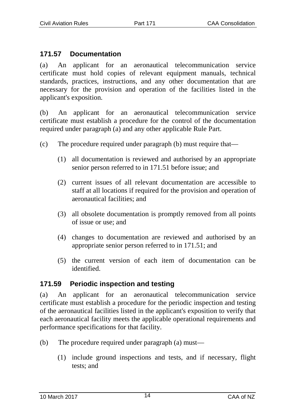#### **171.57 Documentation**

(a) An applicant for an aeronautical telecommunication service certificate must hold copies of relevant equipment manuals, technical standards, practices, instructions, and any other documentation that are necessary for the provision and operation of the facilities listed in the applicant's exposition.

(b) An applicant for an aeronautical telecommunication service certificate must establish a procedure for the control of the documentation required under paragraph (a) and any other applicable Rule Part.

- (c) The procedure required under paragraph (b) must require that—
	- (1) all documentation is reviewed and authorised by an appropriate senior person referred to in 171.51 before issue; and
	- (2) current issues of all relevant documentation are accessible to staff at all locations if required for the provision and operation of aeronautical facilities; and
	- (3) all obsolete documentation is promptly removed from all points of issue or use; and
	- (4) changes to documentation are reviewed and authorised by an appropriate senior person referred to in 171.51; and
	- (5) the current version of each item of documentation can be identified.

## **171.59 Periodic inspection and testing**

(a) An applicant for an aeronautical telecommunication service certificate must establish a procedure for the periodic inspection and testing of the aeronautical facilities listed in the applicant's exposition to verify that each aeronautical facility meets the applicable operational requirements and performance specifications for that facility.

- (b) The procedure required under paragraph (a) must—
	- (1) include ground inspections and tests, and if necessary, flight tests; and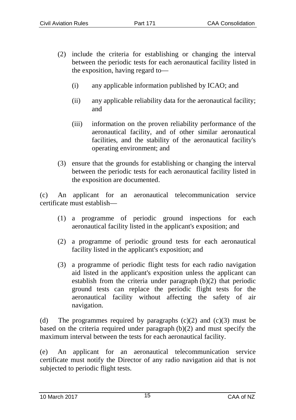- (2) include the criteria for establishing or changing the interval between the periodic tests for each aeronautical facility listed in the exposition, having regard to—
	- (i) any applicable information published by ICAO; and
	- (ii) any applicable reliability data for the aeronautical facility; and
	- (iii) information on the proven reliability performance of the aeronautical facility, and of other similar aeronautical facilities, and the stability of the aeronautical facility's operating environment; and
- (3) ensure that the grounds for establishing or changing the interval between the periodic tests for each aeronautical facility listed in the exposition are documented.

(c) An applicant for an aeronautical telecommunication service certificate must establish—

- (1) a programme of periodic ground inspections for each aeronautical facility listed in the applicant's exposition; and
- (2) a programme of periodic ground tests for each aeronautical facility listed in the applicant's exposition; and
- (3) a programme of periodic flight tests for each radio navigation aid listed in the applicant's exposition unless the applicant can establish from the criteria under paragraph (b)(2) that periodic ground tests can replace the periodic flight tests for the aeronautical facility without affecting the safety of air navigation.

(d) The programmes required by paragraphs  $(c)(2)$  and  $(c)(3)$  must be based on the criteria required under paragraph (b)(2) and must specify the maximum interval between the tests for each aeronautical facility.

(e) An applicant for an aeronautical telecommunication service certificate must notify the Director of any radio navigation aid that is not subjected to periodic flight tests.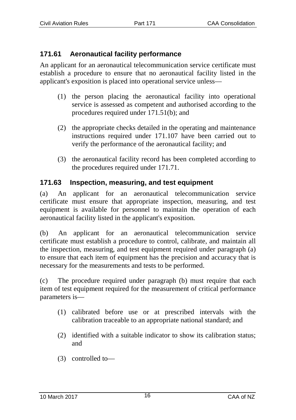## **171.61 Aeronautical facility performance**

An applicant for an aeronautical telecommunication service certificate must establish a procedure to ensure that no aeronautical facility listed in the applicant's exposition is placed into operational service unless—

- (1) the person placing the aeronautical facility into operational service is assessed as competent and authorised according to the procedures required under 171.51(b); and
- (2) the appropriate checks detailed in the operating and maintenance instructions required under 171.107 have been carried out to verify the performance of the aeronautical facility; and
- (3) the aeronautical facility record has been completed according to the procedures required under 171.71.

### **171.63 Inspection, measuring, and test equipment**

(a) An applicant for an aeronautical telecommunication service certificate must ensure that appropriate inspection, measuring, and test equipment is available for personnel to maintain the operation of each aeronautical facility listed in the applicant's exposition.

(b) An applicant for an aeronautical telecommunication service certificate must establish a procedure to control, calibrate, and maintain all the inspection, measuring, and test equipment required under paragraph (a) to ensure that each item of equipment has the precision and accuracy that is necessary for the measurements and tests to be performed.

(c) The procedure required under paragraph (b) must require that each item of test equipment required for the measurement of critical performance parameters is—

- (1) calibrated before use or at prescribed intervals with the calibration traceable to an appropriate national standard; and
- (2) identified with a suitable indicator to show its calibration status; and
- (3) controlled to—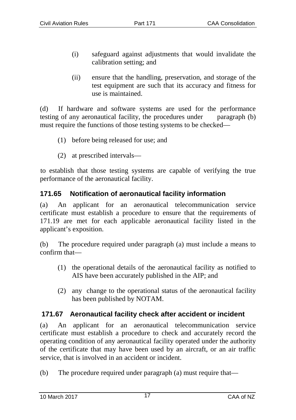- (i) safeguard against adjustments that would invalidate the calibration setting; and
- (ii) ensure that the handling, preservation, and storage of the test equipment are such that its accuracy and fitness for use is maintained.

(d) If hardware and software systems are used for the performance testing of any aeronautical facility, the procedures under paragraph (b) must require the functions of those testing systems to be checked—

- (1) before being released for use; and
- (2) at prescribed intervals—

to establish that those testing systems are capable of verifying the true performance of the aeronautical facility.

#### **171.65 Notification of aeronautical facility information**

(a) An applicant for an aeronautical telecommunication service certificate must establish a procedure to ensure that the requirements of 171.19 are met for each applicable aeronautical facility listed in the applicant's exposition.

(b) The procedure required under paragraph (a) must include a means to confirm that—

- (1) the operational details of the aeronautical facility as notified to AIS have been accurately published in the AIP; and
- (2) any change to the operational status of the aeronautical facility has been published by NOTAM.

## **171.67 Aeronautical facility check after accident or incident**

(a) An applicant for an aeronautical telecommunication service certificate must establish a procedure to check and accurately record the operating condition of any aeronautical facility operated under the authority of the certificate that may have been used by an aircraft, or an air traffic service, that is involved in an accident or incident.

(b) The procedure required under paragraph (a) must require that—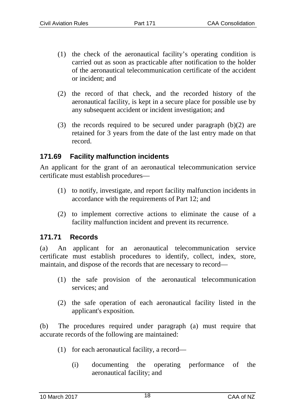- (1) the check of the aeronautical facility's operating condition is carried out as soon as practicable after notification to the holder of the aeronautical telecommunication certificate of the accident or incident; and
- (2) the record of that check, and the recorded history of the aeronautical facility, is kept in a secure place for possible use by any subsequent accident or incident investigation; and
- (3) the records required to be secured under paragraph  $(b)(2)$  are retained for 3 years from the date of the last entry made on that record.

#### **171.69 Facility malfunction incidents**

An applicant for the grant of an aeronautical telecommunication service certificate must establish procedures—

- (1) to notify, investigate, and report facility malfunction incidents in accordance with the requirements of Part 12; and
- (2) to implement corrective actions to eliminate the cause of a facility malfunction incident and prevent its recurrence.

#### **171.71 Records**

(a) An applicant for an aeronautical telecommunication service certificate must establish procedures to identify, collect, index, store, maintain, and dispose of the records that are necessary to record—

- (1) the safe provision of the aeronautical telecommunication services; and
- (2) the safe operation of each aeronautical facility listed in the applicant's exposition.

(b) The procedures required under paragraph (a) must require that accurate records of the following are maintained:

- (1) for each aeronautical facility, a record—
	- (i) documenting the operating performance of the aeronautical facility; and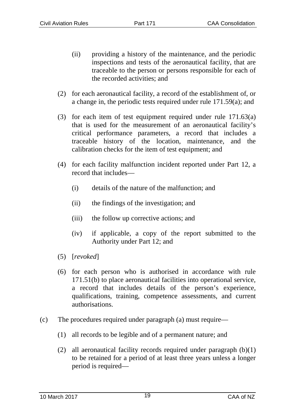- (ii) providing a history of the maintenance, and the periodic inspections and tests of the aeronautical facility, that are traceable to the person or persons responsible for each of the recorded activities; and
- (2) for each aeronautical facility, a record of the establishment of, or a change in, the periodic tests required under rule 171.59(a); and
- (3) for each item of test equipment required under rule 171.63(a) that is used for the measurement of an aeronautical facility's critical performance parameters, a record that includes a traceable history of the location, maintenance, and the calibration checks for the item of test equipment; and
- (4) for each facility malfunction incident reported under Part 12, a record that includes—
	- (i) details of the nature of the malfunction; and
	- (ii) the findings of the investigation; and
	- (iii) the follow up corrective actions; and
	- (iv) if applicable, a copy of the report submitted to the Authority under Part 12; and
- (5) [*revoked*]
- (6) for each person who is authorised in accordance with rule 171.51(b) to place aeronautical facilities into operational service, a record that includes details of the person's experience, qualifications, training, competence assessments, and current authorisations.
- (c) The procedures required under paragraph (a) must require—
	- (1) all records to be legible and of a permanent nature; and
	- (2) all aeronautical facility records required under paragraph  $(b)(1)$ to be retained for a period of at least three years unless a longer period is required—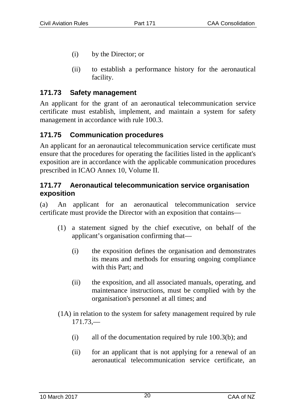- (i) by the Director; or
- (ii) to establish a performance history for the aeronautical facility.

#### **171.73 Safety management**

An applicant for the grant of an aeronautical telecommunication service certificate must establish, implement, and maintain a system for safety management in accordance with rule 100.3.

### **171.75 Communication procedures**

An applicant for an aeronautical telecommunication service certificate must ensure that the procedures for operating the facilities listed in the applicant's exposition are in accordance with the applicable communication procedures prescribed in ICAO Annex 10, Volume II.

#### **171.77 Aeronautical telecommunication service organisation exposition**

(a) An applicant for an aeronautical telecommunication service certificate must provide the Director with an exposition that contains—

- (1) a statement signed by the chief executive, on behalf of the applicant's organisation confirming that—
	- (i) the exposition defines the organisation and demonstrates its means and methods for ensuring ongoing compliance with this Part; and
	- (ii) the exposition, and all associated manuals, operating, and maintenance instructions, must be complied with by the organisation's personnel at all times; and
- (1A) in relation to the system for safety management required by rule 171.73,—
	- (i) all of the documentation required by rule 100.3(b); and
	- (ii) for an applicant that is not applying for a renewal of an aeronautical telecommunication service certificate, an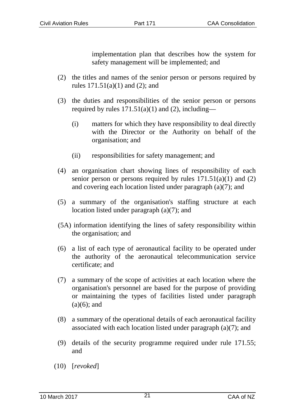implementation plan that describes how the system for safety management will be implemented; and

- (2) the titles and names of the senior person or persons required by rules 171.51(a)(1) and (2); and
- (3) the duties and responsibilities of the senior person or persons required by rules  $171.51(a)(1)$  and (2), including—
	- (i) matters for which they have responsibility to deal directly with the Director or the Authority on behalf of the organisation; and
	- (ii) responsibilities for safety management; and
- (4) an organisation chart showing lines of responsibility of each senior person or persons required by rules  $171.51(a)(1)$  and  $(2)$ and covering each location listed under paragraph (a)(7); and
- (5) a summary of the organisation's staffing structure at each location listed under paragraph (a)(7); and
- (5A) information identifying the lines of safety responsibility within the organisation; and
- (6) a list of each type of aeronautical facility to be operated under the authority of the aeronautical telecommunication service certificate; and
- (7) a summary of the scope of activities at each location where the organisation's personnel are based for the purpose of providing or maintaining the types of facilities listed under paragraph  $(a)(6)$ ; and
- (8) a summary of the operational details of each aeronautical facility associated with each location listed under paragraph (a)(7); and
- (9) details of the security programme required under rule 171.55; and
- (10) [*revoked*]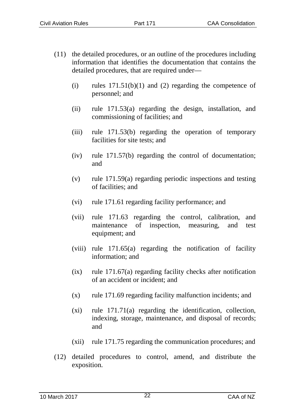- (11) the detailed procedures, or an outline of the procedures including information that identifies the documentation that contains the detailed procedures, that are required under—
	- (i) rules  $171.51(b)(1)$  and (2) regarding the competence of personnel; and
	- (ii) rule 171.53(a) regarding the design, installation, and commissioning of facilities; and
	- (iii) rule 171.53(b) regarding the operation of temporary facilities for site tests; and
	- (iv) rule 171.57(b) regarding the control of documentation; and
	- (v) rule 171.59(a) regarding periodic inspections and testing of facilities; and
	- (vi) rule 171.61 regarding facility performance; and
	- (vii) rule 171.63 regarding the control, calibration, and maintenance of inspection, measuring, and test equipment; and
	- (viii) rule 171.65(a) regarding the notification of facility information; and
	- (ix) rule 171.67(a) regarding facility checks after notification of an accident or incident; and
	- $(x)$  rule 171.69 regarding facility malfunction incidents; and
	- (xi) rule 171.71(a) regarding the identification, collection, indexing, storage, maintenance, and disposal of records; and
	- (xii) rule 171.75 regarding the communication procedures; and
- (12) detailed procedures to control, amend, and distribute the exposition.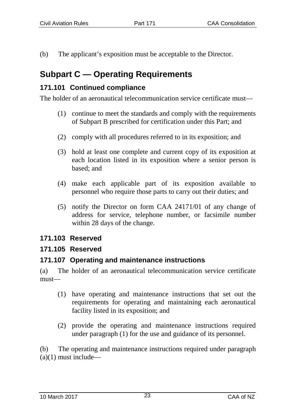(b) The applicant's exposition must be acceptable to the Director.

# **Subpart C — Operating Requirements**

## **171.101 Continued compliance**

The holder of an aeronautical telecommunication service certificate must—

- (1) continue to meet the standards and comply with the requirements of Subpart B prescribed for certification under this Part; and
- (2) comply with all procedures referred to in its exposition; and
- (3) hold at least one complete and current copy of its exposition at each location listed in its exposition where a senior person is based; and
- (4) make each applicable part of its exposition available to personnel who require those parts to carry out their duties; and
- (5) notify the Director on form CAA 24171/01 of any change of address for service, telephone number, or facsimile number within 28 days of the change.

## **171.103 Reserved**

## **171.105 Reserved**

## **171.107 Operating and maintenance instructions**

(a) The holder of an aeronautical telecommunication service certificate must—

- (1) have operating and maintenance instructions that set out the requirements for operating and maintaining each aeronautical facility listed in its exposition; and
- (2) provide the operating and maintenance instructions required under paragraph (1) for the use and guidance of its personnel.

(b) The operating and maintenance instructions required under paragraph  $(a)(1)$  must include—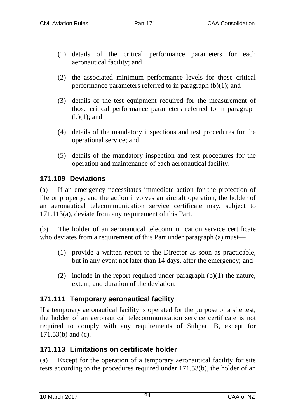- (1) details of the critical performance parameters for each aeronautical facility; and
- (2) the associated minimum performance levels for those critical performance parameters referred to in paragraph (b)(1); and
- (3) details of the test equipment required for the measurement of those critical performance parameters referred to in paragraph  $(b)(1)$ ; and
- (4) details of the mandatory inspections and test procedures for the operational service; and
- (5) details of the mandatory inspection and test procedures for the operation and maintenance of each aeronautical facility.

#### **171.109 Deviations**

(a) If an emergency necessitates immediate action for the protection of life or property, and the action involves an aircraft operation, the holder of an aeronautical telecommunication service certificate may, subject to 171.113(a), deviate from any requirement of this Part.

(b) The holder of an aeronautical telecommunication service certificate who deviates from a requirement of this Part under paragraph (a) must—

- (1) provide a written report to the Director as soon as practicable, but in any event not later than 14 days, after the emergency; and
- (2) include in the report required under paragraph  $(b)(1)$  the nature, extent, and duration of the deviation.

## **171.111 Temporary aeronautical facility**

If a temporary aeronautical facility is operated for the purpose of a site test, the holder of an aeronautical telecommunication service certificate is not required to comply with any requirements of Subpart B, except for 171.53(b) and (c).

#### **171.113 Limitations on certificate holder**

(a) Except for the operation of a temporary aeronautical facility for site tests according to the procedures required under 171.53(b), the holder of an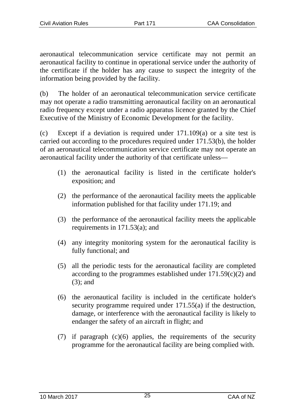aeronautical telecommunication service certificate may not permit an aeronautical facility to continue in operational service under the authority of the certificate if the holder has any cause to suspect the integrity of the information being provided by the facility.

(b) The holder of an aeronautical telecommunication service certificate may not operate a radio transmitting aeronautical facility on an aeronautical radio frequency except under a radio apparatus licence granted by the Chief Executive of the Ministry of Economic Development for the facility.

(c) Except if a deviation is required under 171.109(a) or a site test is carried out according to the procedures required under 171.53(b), the holder of an aeronautical telecommunication service certificate may not operate an aeronautical facility under the authority of that certificate unless—

- (1) the aeronautical facility is listed in the certificate holder's exposition; and
- (2) the performance of the aeronautical facility meets the applicable information published for that facility under 171.19; and
- (3) the performance of the aeronautical facility meets the applicable requirements in 171.53(a); and
- (4) any integrity monitoring system for the aeronautical facility is fully functional; and
- (5) all the periodic tests for the aeronautical facility are completed according to the programmes established under 171.59(c)(2) and (3); and
- (6) the aeronautical facility is included in the certificate holder's security programme required under 171.55(a) if the destruction. damage, or interference with the aeronautical facility is likely to endanger the safety of an aircraft in flight; and
- (7) if paragraph (c)(6) applies, the requirements of the security programme for the aeronautical facility are being complied with.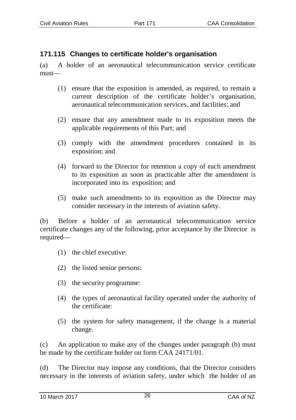#### **171.115 Changes to certificate holder's organisation**

(a) A holder of an aeronautical telecommunication service certificate must—

- (1) ensure that the exposition is amended, as required, to remain a current description of the certificate holder's organisation, aeronautical telecommunication services, and facilities; and
- (2) ensure that any amendment made to its exposition meets the applicable requirements of this Part; and
- (3) comply with the amendment procedures contained in its exposition; and
- (4) forward to the Director for retention a copy of each amendment to its exposition as soon as practicable after the amendment is incorporated into its exposition; and
- (5) make such amendments to its exposition as the Director may consider necessary in the interests of aviation safety.

(b) Before a holder of an aeronautical telecommunication service certificate changes any of the following, prior acceptance by the Director is required—

- (1) the chief executive:
- (2) the listed senior persons:
- (3) the security programme:
- (4) the types of aeronautical facility operated under the authority of the certificate:
- (5) the system for safety management, if the change is a material change.

(c) An application to make any of the changes under paragraph (b) must be made by the certificate holder on form CAA 24171/01.

(d) The Director may impose any conditions, that the Director considers necessary in the interests of aviation safety, under which the holder of an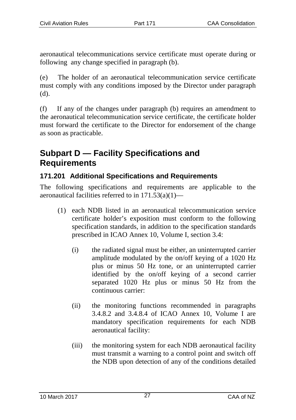aeronautical telecommunications service certificate must operate during or following any change specified in paragraph (b).

(e) The holder of an aeronautical telecommunication service certificate must comply with any conditions imposed by the Director under paragraph (d).

(f) If any of the changes under paragraph (b) requires an amendment to the aeronautical telecommunication service certificate, the certificate holder must forward the certificate to the Director for endorsement of the change as soon as practicable.

# **Subpart D — Facility Specifications and Requirements**

## **171.201 Additional Specifications and Requirements**

The following specifications and requirements are applicable to the aeronautical facilities referred to in  $171.53(a)(1)$ —

- (1) each NDB listed in an aeronautical telecommunication service certificate holder's exposition must conform to the following specification standards, in addition to the specification standards prescribed in ICAO Annex 10, Volume I, section 3.4:
	- (i) the radiated signal must be either, an uninterrupted carrier amplitude modulated by the on/off keying of a 1020 Hz plus or minus 50 Hz tone, or an uninterrupted carrier identified by the on/off keying of a second carrier separated 1020 Hz plus or minus 50 Hz from the continuous carrier:
	- (ii) the monitoring functions recommended in paragraphs 3.4.8.2 and 3.4.8.4 of ICAO Annex 10, Volume I are mandatory specification requirements for each NDB aeronautical facility:
	- (iii) the monitoring system for each NDB aeronautical facility must transmit a warning to a control point and switch off the NDB upon detection of any of the conditions detailed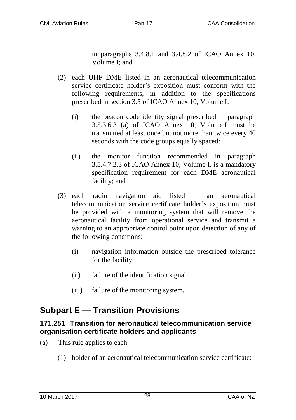in paragraphs 3.4.8.1 and 3.4.8.2 of ICAO Annex 10, Volume I; and

- (2) each UHF DME listed in an aeronautical telecommunication service certificate holder's exposition must conform with the following requirements, in addition to the specifications prescribed in section 3.5 of ICAO Annex 10, Volume I:
	- (i) the beacon code identity signal prescribed in paragraph 3.5.3.6.3 (a) of ICAO Annex 10, Volume I must be transmitted at least once but not more than twice every 40 seconds with the code groups equally spaced:
	- (ii) the monitor function recommended in paragraph 3.5.4.7.2.3 of ICAO Annex 10, Volume I, is a mandatory specification requirement for each DME aeronautical facility; and
- (3) each radio navigation aid listed in an aeronautical telecommunication service certificate holder's exposition must be provided with a monitoring system that will remove the aeronautical facility from operational service and transmit a warning to an appropriate control point upon detection of any of the following conditions:
	- (i) navigation information outside the prescribed tolerance for the facility:
	- (ii) failure of the identification signal:
	- (iii) failure of the monitoring system.

# **Subpart E — Transition Provisions**

#### **171.251 Transition for aeronautical telecommunication service organisation certificate holders and applicants**

- (a) This rule applies to each—
	- (1) holder of an aeronautical telecommunication service certificate: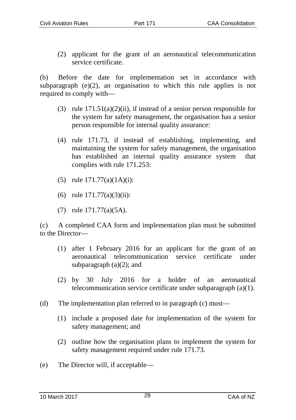(2) applicant for the grant of an aeronautical telecommunication service certificate.

(b) Before the date for implementation set in accordance with subparagraph (e)(2), an organisation to which this rule applies is not required to comply with—

- (3) rule 171.51(a)(2)(ii), if instead of a senior person responsible for the system for safety management, the organisation has a senior person responsible for internal quality assurance:
- (4) rule 171.73, if instead of establishing, implementing, and maintaining the system for safety management, the organisation has established an internal quality assurance system that complies with rule 171.253:
- (5) rule 171.77(a)(1A)(i):
- (6) rule 171.77(a)(3)(ii):
- (7) rule 171.77(a)(5A).

(c) A completed CAA form and implementation plan must be submitted to the Director—

- (1) after 1 February 2016 for an applicant for the grant of an aeronautical telecommunication service certificate under subparagraph  $(a)(2)$ ; and
- (2) by 30 July 2016 for a holder of an aeronautical telecommunication service certificate under subparagraph (a)(1).
- (d) The implementation plan referred to in paragraph (c) must—
	- (1) include a proposed date for implementation of the system for safety management; and
	- (2) outline how the organisation plans to implement the system for safety management required under rule 171.73.
- (e) The Director will, if acceptable—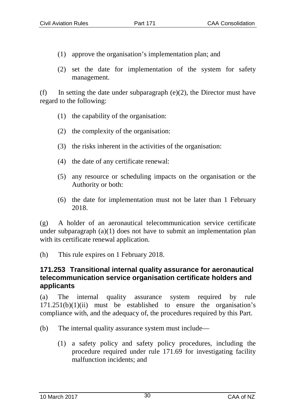- (1) approve the organisation's implementation plan; and
- (2) set the date for implementation of the system for safety management.

(f) In setting the date under subparagraph (e)(2), the Director must have regard to the following:

- (1) the capability of the organisation:
- (2) the complexity of the organisation:
- (3) the risks inherent in the activities of the organisation:
- (4) the date of any certificate renewal:
- (5) any resource or scheduling impacts on the organisation or the Authority or both:
- (6) the date for implementation must not be later than 1 February 2018.

(g) A holder of an aeronautical telecommunication service certificate under subparagraph  $(a)(1)$  does not have to submit an implementation plan with its certificate renewal application.

(h) This rule expires on 1 February 2018.

#### **171.253 Transitional internal quality assurance for aeronautical telecommunication service organisation certificate holders and applicants**

(a) The internal quality assurance system required by rule  $171.251(b)(1)(ii)$  must be established to ensure the organisation's compliance with, and the adequacy of, the procedures required by this Part.

- (b) The internal quality assurance system must include—
	- (1) a safety policy and safety policy procedures, including the procedure required under rule 171.69 for investigating facility malfunction incidents; and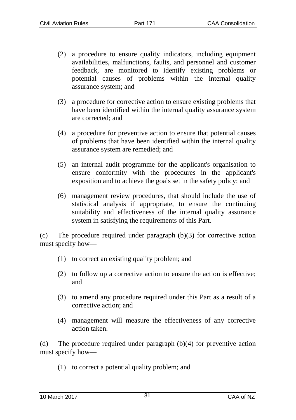- (2) a procedure to ensure quality indicators, including equipment availabilities, malfunctions, faults, and personnel and customer feedback, are monitored to identify existing problems or potential causes of problems within the internal quality assurance system; and
- (3) a procedure for corrective action to ensure existing problems that have been identified within the internal quality assurance system are corrected; and
- (4) a procedure for preventive action to ensure that potential causes of problems that have been identified within the internal quality assurance system are remedied; and
- (5) an internal audit programme for the applicant's organisation to ensure conformity with the procedures in the applicant's exposition and to achieve the goals set in the safety policy; and
- (6) management review procedures, that should include the use of statistical analysis if appropriate, to ensure the continuing suitability and effectiveness of the internal quality assurance system in satisfying the requirements of this Part.

(c) The procedure required under paragraph (b)(3) for corrective action must specify how—

- (1) to correct an existing quality problem; and
- (2) to follow up a corrective action to ensure the action is effective; and
- (3) to amend any procedure required under this Part as a result of a corrective action; and
- (4) management will measure the effectiveness of any corrective action taken.

(d) The procedure required under paragraph (b)(4) for preventive action must specify how—

(1) to correct a potential quality problem; and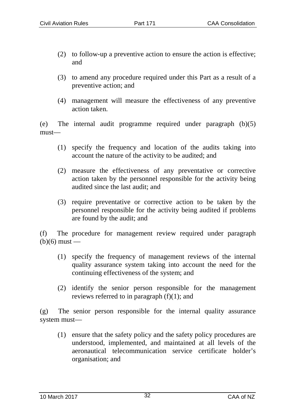- (2) to follow-up a preventive action to ensure the action is effective; and
- (3) to amend any procedure required under this Part as a result of a preventive action; and
- (4) management will measure the effectiveness of any preventive action taken.

(e) The internal audit programme required under paragraph (b)(5) must—

- (1) specify the frequency and location of the audits taking into account the nature of the activity to be audited; and
- (2) measure the effectiveness of any preventative or corrective action taken by the personnel responsible for the activity being audited since the last audit; and
- (3) require preventative or corrective action to be taken by the personnel responsible for the activity being audited if problems are found by the audit; and

(f) The procedure for management review required under paragraph  $(b)(6)$  must —

- (1) specify the frequency of management reviews of the internal quality assurance system taking into account the need for the continuing effectiveness of the system; and
- (2) identify the senior person responsible for the management reviews referred to in paragraph (f)(1); and

(g) The senior person responsible for the internal quality assurance system must—

(1) ensure that the safety policy and the safety policy procedures are understood, implemented, and maintained at all levels of the aeronautical telecommunication service certificate holder's organisation; and